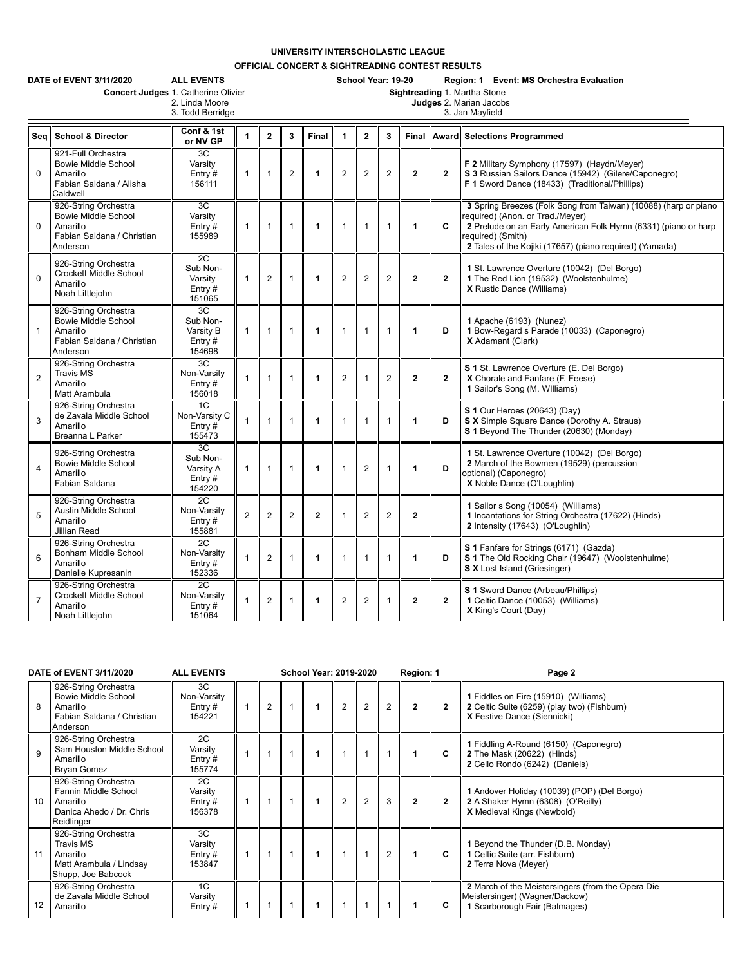## **UNIVERSITY INTERSCHOLASTIC LEAGUE**

**OFFICIAL CONCERT & SIGHTREADING CONTEST RESULTS**

| DATE of EVENT 3/11/2020<br><b>ALL EVENTS</b><br>Concert Judges 1. Catherine Olivier<br>2. Linda Moore<br>3. Todd Berridge |                                                                                                          |                                                    |                |                |                |              |                | School Year: 19-20<br>Region: 1 Event: MS Orchestra Evaluation<br>Sightreading 1. Martha Stone<br>Judges 2. Marian Jacobs<br>3. Jan Mayfield |                |                |              |                                                                                                                                                                                                                                                       |  |  |
|---------------------------------------------------------------------------------------------------------------------------|----------------------------------------------------------------------------------------------------------|----------------------------------------------------|----------------|----------------|----------------|--------------|----------------|----------------------------------------------------------------------------------------------------------------------------------------------|----------------|----------------|--------------|-------------------------------------------------------------------------------------------------------------------------------------------------------------------------------------------------------------------------------------------------------|--|--|
| Seq                                                                                                                       | <b>School &amp; Director</b>                                                                             | Conf & 1st<br>or NV GP                             | 1              | $\mathbf{2}$   | 3              | Final        | 1              | $\overline{2}$                                                                                                                               | 3              | Final          |              | <b>Award Selections Programmed</b>                                                                                                                                                                                                                    |  |  |
| $\mathbf 0$                                                                                                               | 921-Full Orchestra<br><b>Bowie Middle School</b><br>Amarillo<br>Fabian Saldana / Alisha<br>Caldwell      | 3C<br>Varsity<br>Entry $#$<br>156111               | $\mathbf{1}$   | $\mathbf{1}$   | $\overline{2}$ | 1            | $\overline{2}$ | $\overline{2}$                                                                                                                               | $\overline{2}$ | $\overline{2}$ | $\mathbf{2}$ | F 2 Military Symphony (17597) (Haydn/Meyer)<br>S 3 Russian Sailors Dance (15942) (Gilere/Caponegro)<br>F 1 Sword Dance (18433) (Traditional/Phillips)                                                                                                 |  |  |
| $\mathbf 0$                                                                                                               | 926-String Orchestra<br><b>Bowie Middle School</b><br>Amarillo<br>Fabian Saldana / Christian<br>Anderson | 3C<br>Varsity<br>Entry $#$<br>155989               | $\mathbf{1}$   | $\mathbf{1}$   | 1              | 1            | $\mathbf 1$    | 1                                                                                                                                            | $\overline{1}$ | 1              | C            | 3 Spring Breezes (Folk Song from Taiwan) (10088) (harp or piano<br>required) (Anon. or Trad./Meyer)<br>2 Prelude on an Early American Folk Hymn (6331) (piano or harp<br>required) (Smith)<br>2 Tales of the Kojiki (17657) (piano required) (Yamada) |  |  |
| $\mathbf 0$                                                                                                               | 926-String Orchestra<br>Crockett Middle School<br>Amarillo<br>Noah Littlejohn                            | 2C<br>Sub Non-<br>Varsity<br>Entry $#$<br>151065   | -1             | $\overline{2}$ | 1              | 1            | $\overline{2}$ | $\overline{2}$                                                                                                                               | $\overline{2}$ | $\overline{2}$ | $\mathbf{2}$ | 1 St. Lawrence Overture (10042) (Del Borgo)<br>1 The Red Lion (19532) (Woolstenhulme)<br>X Rustic Dance (Williams)                                                                                                                                    |  |  |
| $\mathbf{1}$                                                                                                              | 926-String Orchestra<br><b>Bowie Middle School</b><br>Amarillo<br>Fabian Saldana / Christian<br>Anderson | 3C<br>Sub Non-<br>Varsity B<br>Entry $#$<br>154698 | $\mathbf{1}$   | $\mathbf{1}$   | $\mathbf{1}$   | 1            | $\mathbf{1}$   | $\mathbf{1}$                                                                                                                                 | $\mathbf{1}$   | 1              | D            | 1 Apache (6193) (Nunez)<br>1 Bow-Regard s Parade (10033) (Caponegro)<br>X Adamant (Clark)                                                                                                                                                             |  |  |
| $\overline{2}$                                                                                                            | 926-String Orchestra<br><b>Travis MS</b><br>Amarillo<br>Matt Arambula                                    | 3C<br>Non-Varsity<br>Entry $#$<br>156018           | $\mathbf{1}$   | $\mathbf{1}$   | $\mathbf{1}$   | 1            | 2              | $\mathbf{1}$                                                                                                                                 | $\overline{2}$ | $\overline{2}$ | $\mathbf{2}$ | S 1 St. Lawrence Overture (E. Del Borgo)<br>X Chorale and Fanfare (F. Feese)<br>1 Sailor's Song (M. Williams)                                                                                                                                         |  |  |
| 3                                                                                                                         | 926-String Orchestra<br>de Zavala Middle School<br>Amarillo<br>Breanna L Parker                          | 1C<br>Non-Varsity C<br>Entry#<br>155473            | $\mathbf{1}$   | $\mathbf{1}$   | $\mathbf{1}$   | 1            | $\mathbf 1$    | $\mathbf{1}$                                                                                                                                 | $\mathbf{1}$   | 1              | D            | S 1 Our Heroes (20643) (Day)<br>S X Simple Square Dance (Dorothy A. Straus)<br>S 1 Beyond The Thunder (20630) (Monday)                                                                                                                                |  |  |
| $\overline{4}$                                                                                                            | 926-String Orchestra<br><b>Bowie Middle School</b><br>Amarillo<br>Fabian Saldana                         | 3C<br>Sub Non-<br>Varsity A<br>Entry#<br>154220    | $\mathbf{1}$   | $\mathbf{1}$   | $\overline{1}$ | 1            | -1             | $\overline{2}$                                                                                                                               | $\overline{1}$ | 1              | D            | 1 St. Lawrence Overture (10042) (Del Borgo)<br>2 March of the Bowmen (19529) (percussion<br>optional) (Caponegro)<br>X Noble Dance (O'Loughlin)                                                                                                       |  |  |
| 5                                                                                                                         | 926-String Orchestra<br>Austin Middle School<br>Amarillo<br>Jillian Read                                 | 2C<br>Non-Varsity<br>Entry#<br>155881              | $\overline{2}$ | $\overline{2}$ | $\overline{2}$ | $\mathbf{2}$ |                | $\overline{2}$                                                                                                                               | $\overline{2}$ | $\overline{2}$ |              | 1 Sailor s Song (10054) (Williams)<br>1 Incantations for String Orchestra (17622) (Hinds)<br>2 Intensity (17643) (O'Loughlin)                                                                                                                         |  |  |
| 6                                                                                                                         | 926-String Orchestra<br>Bonham Middle School<br>Amarillo<br>Danielle Kupresanin                          | 2C<br>Non-Varsity<br>Entry $#$<br>152336           |                | $\overline{2}$ | $\mathbf{1}$   | 1            | $\mathbf 1$    | $\mathbf{1}$                                                                                                                                 | $\mathbf{1}$   | 1              | D            | S 1 Fanfare for Strings (6171) (Gazda)<br>S 1 The Old Rocking Chair (19647) (Woolstenhulme)<br><b>S X</b> Lost Island (Griesinger)                                                                                                                    |  |  |
| $\overline{7}$                                                                                                            | 926-String Orchestra<br><b>Crockett Middle School</b><br>Amarillo<br>Noah Littlejohn                     | 2C<br>Non-Varsity<br>Entry $#$<br>151064           | $\mathbf{1}$   | $\overline{2}$ | $\mathbf{1}$   | 1            | 2              | $\overline{2}$                                                                                                                               | $\mathbf{1}$   | $\overline{2}$ | $\mathbf{2}$ | S 1 Sword Dance (Arbeau/Phillips)<br>1 Celtic Dance (10053) (Williams)<br>X King's Court (Day)                                                                                                                                                        |  |  |

| DATE of EVENT 3/11/2020 |                                                                                                          | <b>ALL EVENTS</b>                        | <b>School Year: 2019-2020</b> |  |                |                | Region: 1      |              | Page 2       |                                                                                                                       |
|-------------------------|----------------------------------------------------------------------------------------------------------|------------------------------------------|-------------------------------|--|----------------|----------------|----------------|--------------|--------------|-----------------------------------------------------------------------------------------------------------------------|
| 8                       | 926-String Orchestra<br><b>Bowie Middle School</b><br>Amarillo<br>Fabian Saldana / Christian<br>Anderson | 3C<br>Non-Varsity<br>Entry $#$<br>154221 | $\overline{2}$                |  | $\overline{2}$ | $\overline{2}$ | $\overline{2}$ | $\mathbf{2}$ | $\mathbf{2}$ | 1 Fiddles on Fire (15910) (Williams)<br>2 Celtic Suite (6259) (play two) (Fishburn)<br>X Festive Dance (Siennicki)    |
| 9                       | 926-String Orchestra<br>Sam Houston Middle School<br>Amarillo<br><b>Bryan Gomez</b>                      | 2C<br>Varsity<br>Entry $#$<br>155774     |                               |  |                |                |                |              | C            | 1 Fiddling A-Round (6150) (Caponegro)<br>2 The Mask (20622) (Hinds)<br>2 Cello Rondo (6242) (Daniels)                 |
| 10                      | 926-String Orchestra<br>Fannin Middle School<br>Amarillo<br>Danica Ahedo / Dr. Chris<br>Reidlinger       | 2C<br>Varsity<br>Entry $#$<br>156378     |                               |  | 2              | $\overline{2}$ | 3              | $\mathbf{2}$ | $\mathbf{2}$ | 1 Andover Holiday (10039) (POP) (Del Borgo)<br>2 A Shaker Hymn (6308) (O'Reilly)<br><b>X</b> Medieval Kings (Newbold) |
| 11                      | 926-String Orchestra<br><b>Travis MS</b><br>Amarillo<br>Matt Arambula / Lindsay<br>Shupp, Joe Babcock    | 3C<br>Varsity<br>Entry $#$<br>153847     |                               |  |                |                | 2              |              | C            | 1 Beyond the Thunder (D.B. Monday)<br>1 Celtic Suite (arr. Fishburn)<br>2 Terra Nova (Meyer)                          |
| 12                      | 926-String Orchestra<br>de Zavala Middle School<br>Amarillo                                              | 1C<br>Varsity<br>Entry $#$               |                               |  |                |                |                |              | C            | 2 March of the Meistersingers (from the Opera Die<br>Meistersinger) (Wagner/Dackow)<br>Scarborough Fair (Balmages)    |